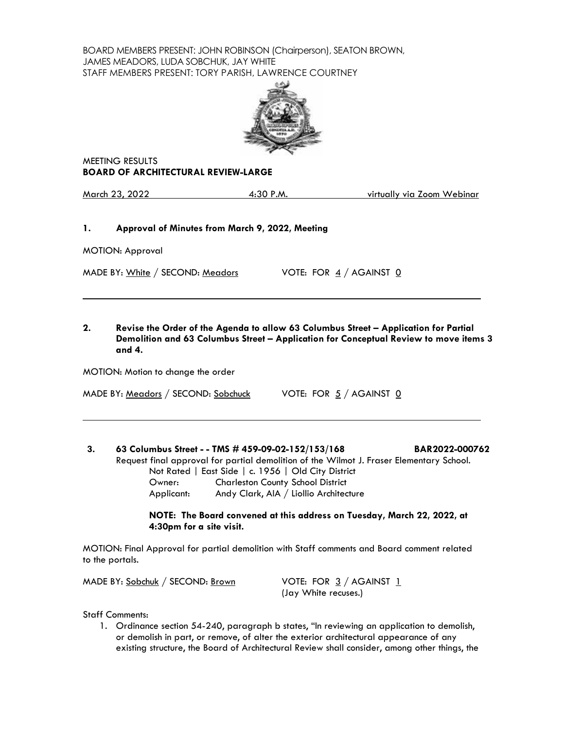BOARD MEMBERS PRESENT: JOHN ROBINSON (Chairperson), SEATON BROWN, JAMES MEADORS, LUDA SOBCHUK, JAY WHITE STAFF MEMBERS PRESENT: TORY PARISH, LAWRENCE COURTNEY



MEETING RESULTS **BOARD OF ARCHITECTURAL REVIEW-LARGE**

March 23, 2022 4:30 P.M. virtually via Zoom Webinar

# **1. Approval of Minutes from March 9, 2022, Meeting**

MOTION: Approval

 $\ddot{\phantom{a}}$ 

 $\overline{\phantom{a}}$ 

MADE BY:  $White / SECOND: Meadors$  VOTE: FOR  $4 / AGA~~INST 0~~$ 

# **2. Revise the Order of the Agenda to allow 63 Columbus Street – Application for Partial Demolition and 63 Columbus Street – Application for Conceptual Review to move items 3 and 4.**

MOTION: Motion to change the order

MADE BY: Meadors / SECOND: Sobchuck VOTE: FOR 5 / AGAINST 0

# **3. 63 Columbus Street - - TMS # 459-09-02-152/153/168 BAR2022-000762** Request final approval for partial demolition of the Wilmot J. Fraser Elementary School. Not Rated | East Side | c. 1956 | Old City District Owner: Charleston County School District Applicant: Andy Clark, AIA / Liollio Architecture

**NOTE: The Board convened at this address on Tuesday, March 22, 2022, at 4:30pm for a site visit.**

MOTION: Final Approval for partial demolition with Staff comments and Board comment related to the portals.

MADE BY:  $Sobchuk / SECOND: Brown$  VOTE: FOR  $3 / AGAINST 1$ 

(Jay White recuses.)

Staff Comments:

1. Ordinance section 54-240, paragraph b states, "In reviewing an application to demolish, or demolish in part, or remove, of alter the exterior architectural appearance of any existing structure, the Board of Architectural Review shall consider, among other things, the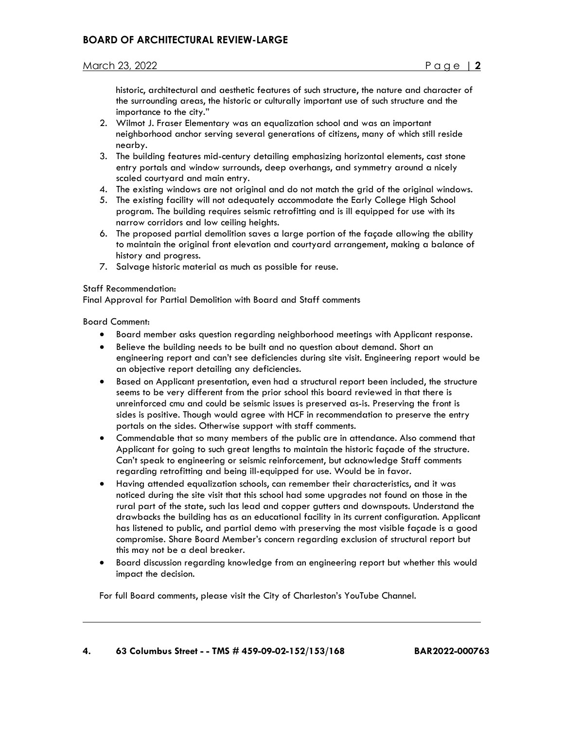historic, architectural and aesthetic features of such structure, the nature and character of the surrounding areas, the historic or culturally important use of such structure and the importance to the city."

- 2. Wilmot J. Fraser Elementary was an equalization school and was an important neighborhood anchor serving several generations of citizens, many of which still reside nearby.
- 3. The building features mid-century detailing emphasizing horizontal elements, cast stone entry portals and window surrounds, deep overhangs, and symmetry around a nicely scaled courtyard and main entry.
- 4. The existing windows are not original and do not match the grid of the original windows.
- 5. The existing facility will not adequately accommodate the Early College High School program. The building requires seismic retrofitting and is ill equipped for use with its narrow corridors and low ceiling heights.
- 6. The proposed partial demolition saves a large portion of the façade allowing the ability to maintain the original front elevation and courtyard arrangement, making a balance of history and progress.
- 7. Salvage historic material as much as possible for reuse.

### Staff Recommendation:

Final Approval for Partial Demolition with Board and Staff comments

Board Comment:

 $\overline{\phantom{a}}$ 

- Board member asks question regarding neighborhood meetings with Applicant response.
- Believe the building needs to be built and no question about demand. Short an engineering report and can't see deficiencies during site visit. Engineering report would be an objective report detailing any deficiencies.
- Based on Applicant presentation, even had a structural report been included, the structure seems to be very different from the prior school this board reviewed in that there is unreinforced cmu and could be seismic issues is preserved as-is. Preserving the front is sides is positive. Though would agree with HCF in recommendation to preserve the entry portals on the sides. Otherwise support with staff comments.
- Commendable that so many members of the public are in attendance. Also commend that Applicant for going to such great lengths to maintain the historic façade of the structure. Can't speak to engineering or seismic reinforcement, but acknowledge Staff comments regarding retrofitting and being ill-equipped for use. Would be in favor.
- Having attended equalization schools, can remember their characteristics, and it was noticed during the site visit that this school had some upgrades not found on those in the rural part of the state, such las lead and copper gutters and downspouts. Understand the drawbacks the building has as an educational facility in its current configuration. Applicant has listened to public, and partial demo with preserving the most visible façade is a good compromise. Share Board Member's concern regarding exclusion of structural report but this may not be a deal breaker.
- Board discussion regarding knowledge from an engineering report but whether this would impact the decision.

For full Board comments, please visit the City of Charleston's YouTube Channel.

### **4. 63 Columbus Street - - TMS # 459-09-02-152/153/168 BAR2022-000763**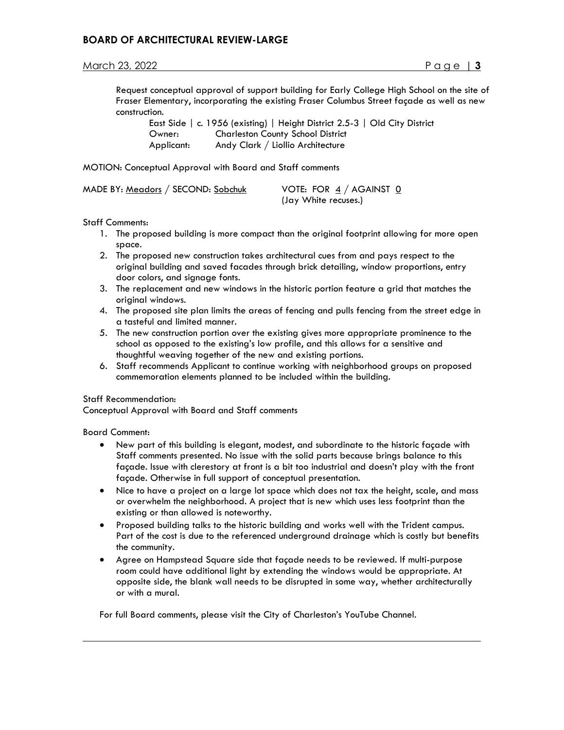## March 23, 2022 Page | **3**

Request conceptual approval of support building for Early College High School on the site of Fraser Elementary, incorporating the existing Fraser Columbus Street façade as well as new construction.

 East Side | c. 1956 (existing) | Height District 2.5-3 | Old City District Owner: Charleston County School District Applicant: Andy Clark / Liollio Architecture

MOTION: Conceptual Approval with Board and Staff comments

| MADE BY: Meadors / SECOND: Sobchuk | VOTE: FOR $4/$ AGAINST 0 |
|------------------------------------|--------------------------|
|                                    | (Jay White recuses.)     |

Staff Comments:

- 1. The proposed building is more compact than the original footprint allowing for more open space.
- 2. The proposed new construction takes architectural cues from and pays respect to the original building and saved facades through brick detailing, window proportions, entry door colors, and signage fonts.
- 3. The replacement and new windows in the historic portion feature a grid that matches the original windows.
- 4. The proposed site plan limits the areas of fencing and pulls fencing from the street edge in a tasteful and limited manner.
- 5. The new construction portion over the existing gives more appropriate prominence to the school as opposed to the existing's low profile, and this allows for a sensitive and thoughtful weaving together of the new and existing portions.
- 6. Staff recommends Applicant to continue working with neighborhood groups on proposed commemoration elements planned to be included within the building.

#### Staff Recommendation:

Conceptual Approval with Board and Staff comments

Board Comment:

 $\overline{\phantom{a}}$ 

- New part of this building is elegant, modest, and subordinate to the historic façade with Staff comments presented. No issue with the solid parts because brings balance to this façade. Issue with clerestory at front is a bit too industrial and doesn't play with the front façade. Otherwise in full support of conceptual presentation.
- Nice to have a project on a large lot space which does not tax the height, scale, and mass or overwhelm the neighborhood. A project that is new which uses less footprint than the existing or than allowed is noteworthy.
- Proposed building talks to the historic building and works well with the Trident campus. Part of the cost is due to the referenced underground drainage which is costly but benefits the community.
- Agree on Hampstead Square side that façade needs to be reviewed. If multi-purpose room could have additional light by extending the windows would be appropriate. At opposite side, the blank wall needs to be disrupted in some way, whether architecturally or with a mural.

For full Board comments, please visit the City of Charleston's YouTube Channel.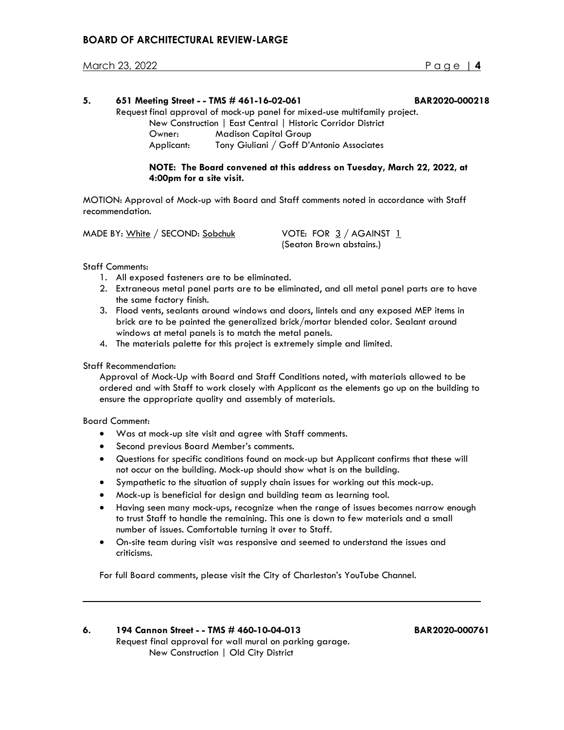## March 23, 2022 Page | **4**

| 5. |                                                                            | 651 Meeting Street - - TMS # 461-16-02-061                              | BAR2020-000218 |
|----|----------------------------------------------------------------------------|-------------------------------------------------------------------------|----------------|
|    | Request final approval of mock-up panel for mixed-use multifamily project. |                                                                         |                |
|    | New Construction   East Central   Historic Corridor District               |                                                                         |                |
|    | Owner:                                                                     | <b>Madison Capital Group</b>                                            |                |
|    | Applicant:                                                                 | Tony Giuliani / Goff D'Antonio Associates                               |                |
|    |                                                                            | NOTE. The Beaud convened at this address on Tuesday, Mauch 22, 2022, at |                |

**NOTE: The Board convened at this address on Tuesday, March 22, 2022, at 4:00pm for a site visit.**

MOTION: Approval of Mock-up with Board and Staff comments noted in accordance with Staff recommendation.

MADE BY: White / SECOND: Sobchuk VOTE: FOR 3 / AGAINST 1

(Seaton Brown abstains.)

Staff Comments:

- 1. All exposed fasteners are to be eliminated.
- 2. Extraneous metal panel parts are to be eliminated, and all metal panel parts are to have the same factory finish.
- 3. Flood vents, sealants around windows and doors, lintels and any exposed MEP items in brick are to be painted the generalized brick/mortar blended color. Sealant around windows at metal panels is to match the metal panels.
- 4. The materials palette for this project is extremely simple and limited.

Staff Recommendation:

 Approval of Mock-Up with Board and Staff Conditions noted, with materials allowed to be ordered and with Staff to work closely with Applicant as the elements go up on the building to ensure the appropriate quality and assembly of materials.

Board Comment:

 $\ddot{\phantom{a}}$ 

- Was at mock-up site visit and agree with Staff comments.
- Second previous Board Member's comments.
- Questions for specific conditions found on mock-up but Applicant confirms that these will not occur on the building. Mock-up should show what is on the building.
- Sympathetic to the situation of supply chain issues for working out this mock-up.
- Mock-up is beneficial for design and building team as learning tool.
- Having seen many mock-ups, recognize when the range of issues becomes narrow enough to trust Staff to handle the remaining. This one is down to few materials and a small number of issues. Comfortable turning it over to Staff.
- On-site team during visit was responsive and seemed to understand the issues and criticisms.

For full Board comments, please visit the City of Charleston's YouTube Channel.

## **6. 194 Cannon Street - - TMS # 460-10-04-013 BAR2020-000761** Request final approval for wall mural on parking garage. New Construction | Old City District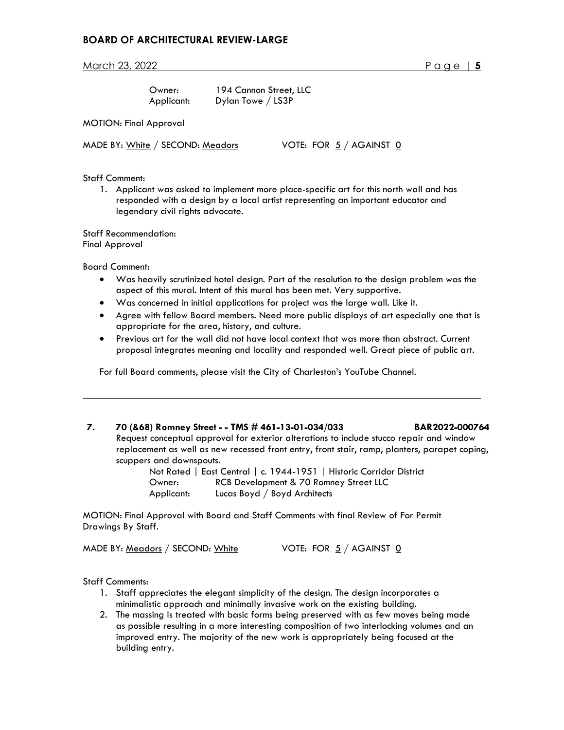March 23, 2022 **Page 15** 

| :Dwner     |  |
|------------|--|
| Applicant: |  |

Owner: 194 Cannon Street, LLC Dylan Towe / LS3P

MOTION: Final Approval

MADE BY: White / SECOND: Meadors VOTE: FOR  $5$  / AGAINST  $\underline{0}$ 

Staff Comment:

1. Applicant was asked to implement more place-specific art for this north wall and has responded with a design by a local artist representing an important educator and legendary civil rights advocate.

Staff Recommendation: Final Approval

Board Comment:

 $\overline{\phantom{a}}$ 

- Was heavily scrutinized hotel design. Part of the resolution to the design problem was the aspect of this mural. Intent of this mural has been met. Very supportive.
- Was concerned in initial applications for project was the large wall. Like it.
- Agree with fellow Board members. Need more public displays of art especially one that is appropriate for the area, history, and culture.
- Previous art for the wall did not have local context that was more than abstract. Current proposal integrates meaning and locality and responded well. Great piece of public art.

For full Board comments, please visit the City of Charleston's YouTube Channel.

# **7. 70 (&68) Romney Street - - TMS # 461-13-01-034/033 BAR2022-000764**

Request conceptual approval for exterior alterations to include stucco repair and window replacement as well as new recessed front entry, front stair, ramp, planters, parapet coping, scuppers and downspouts.

> Not Rated | East Central | c. 1944-1951 | Historic Corridor District Owner: RCB Development & 70 Romney Street LLC Applicant: Lucas Boyd / Boyd Architects

MOTION: Final Approval with Board and Staff Comments with final Review of For Permit Drawings By Staff.

MADE BY: Meadors / SECOND: White  $V$  VOTE: FOR  $5/$  AGAINST  $\underline{0}$ 

Staff Comments:

- 1. Staff appreciates the elegant simplicity of the design. The design incorporates a minimalistic approach and minimally invasive work on the existing building.
- 2. The massing is treated with basic forms being preserved with as few moves being made as possible resulting in a more interesting composition of two interlocking volumes and an improved entry. The majority of the new work is appropriately being focused at the building entry.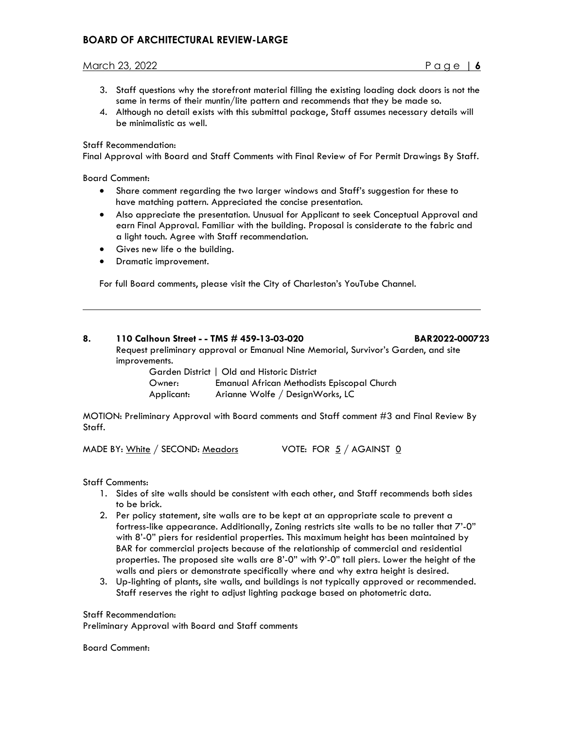# March 23, 2022 Page | **6**

- 3. Staff questions why the storefront material filling the existing loading dock doors is not the same in terms of their muntin/lite pattern and recommends that they be made so.
- 4. Although no detail exists with this submittal package, Staff assumes necessary details will be minimalistic as well.

#### Staff Recommendation:

Final Approval with Board and Staff Comments with Final Review of For Permit Drawings By Staff.

Board Comment:

 $\ddot{\phantom{a}}$ 

- Share comment regarding the two larger windows and Staff's suggestion for these to have matching pattern. Appreciated the concise presentation.
- Also appreciate the presentation. Unusual for Applicant to seek Conceptual Approval and earn Final Approval. Familiar with the building. Proposal is considerate to the fabric and a light touch. Agree with Staff recommendation.
- Gives new life o the building.
- Dramatic improvement.

For full Board comments, please visit the City of Charleston's YouTube Channel.

### **8. 110 Calhoun Street - - TMS # 459-13-03-020 BAR2022-000723** Request preliminary approval or Emanual Nine Memorial, Survivor's Garden, and site improvements.

|            | Garden District   Old and Historic District |
|------------|---------------------------------------------|
| Owner:     | Emanual African Methodists Episcopal Church |
| Applicant: | Arianne Wolfe / DesignWorks, LC             |

MOTION: Preliminary Approval with Board comments and Staff comment #3 and Final Review By Staff.

MADE BY:  $White / SECOND: Meadors$  VOTE: FOR  $5 / AGAINST$  0

Staff Comments:

- 1. Sides of site walls should be consistent with each other, and Staff recommends both sides to be brick.
- 2. Per policy statement, site walls are to be kept at an appropriate scale to prevent a fortress-like appearance. Additionally, Zoning restricts site walls to be no taller that 7'-0" with 8'-0" piers for residential properties. This maximum height has been maintained by BAR for commercial projects because of the relationship of commercial and residential properties. The proposed site walls are 8'-0" with 9'-0" tall piers. Lower the height of the walls and piers or demonstrate specifically where and why extra height is desired.
- 3. Up-lighting of plants, site walls, and buildings is not typically approved or recommended. Staff reserves the right to adjust lighting package based on photometric data.

Staff Recommendation:

Preliminary Approval with Board and Staff comments

Board Comment: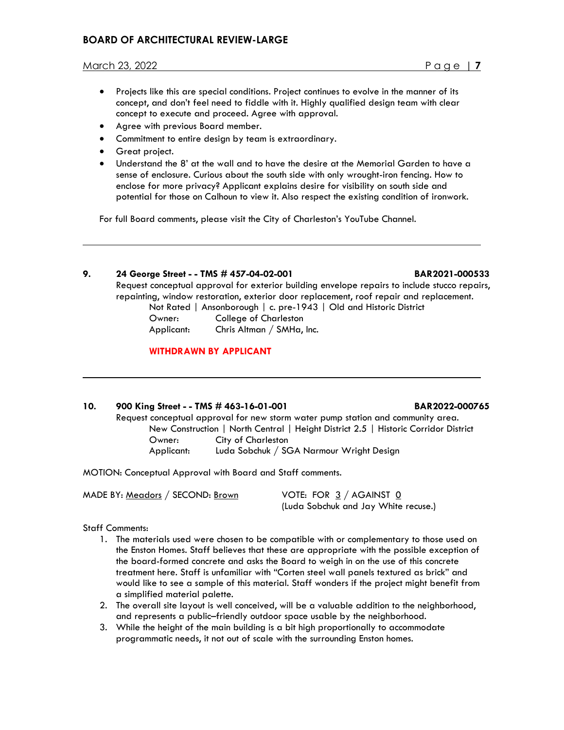- Projects like this are special conditions. Project continues to evolve in the manner of its concept, and don't feel need to fiddle with it. Highly qualified design team with clear concept to execute and proceed. Agree with approval.
- Agree with previous Board member.
- Commitment to entire design by team is extraordinary.
- Great project.

 $\ddot{\phantom{a}}$ 

 $\overline{\phantom{a}}$ 

• Understand the 8' at the wall and to have the desire at the Memorial Garden to have a sense of enclosure. Curious about the south side with only wrought-iron fencing. How to enclose for more privacy? Applicant explains desire for visibility on south side and potential for those on Calhoun to view it. Also respect the existing condition of ironwork.

For full Board comments, please visit the City of Charleston's YouTube Channel.

# **9. 24 George Street - - TMS # 457-04-02-001 BAR2021-000533**

Request conceptual approval for exterior building envelope repairs to include stucco repairs, repainting, window restoration, exterior door replacement, roof repair and replacement. Not Rated | Ansonborough | c. pre-1943 | Old and Historic District

Owner: College of Charleston

Applicant: Chris Altman / SMHa, Inc.

# **WITHDRAWN BY APPLICANT**

### **10. 900 King Street - - TMS # 463-16-01-001 BAR2022-000765**

Request conceptual approval for new storm water pump station and community area. New Construction | North Central | Height District 2.5 | Historic Corridor District Owner: City of Charleston Applicant: Luda Sobchuk / SGA Narmour Wright Design

MOTION: Conceptual Approval with Board and Staff comments.

MADE BY: Meadors / SECOND: Brown VOTE: FOR 3 / AGAINST 0

(Luda Sobchuk and Jay White recuse.)

### Staff Comments:

- 1. The materials used were chosen to be compatible with or complementary to those used on the Enston Homes. Staff believes that these are appropriate with the possible exception of the board-formed concrete and asks the Board to weigh in on the use of this concrete treatment here. Staff is unfamiliar with "Corten steel wall panels textured as brick" and would like to see a sample of this material. Staff wonders if the project might benefit from a simplified material palette.
- 2. The overall site layout is well conceived, will be a valuable addition to the neighborhood, and represents a public–friendly outdoor space usable by the neighborhood.
- 3. While the height of the main building is a bit high proportionally to accommodate programmatic needs, it not out of scale with the surrounding Enston homes.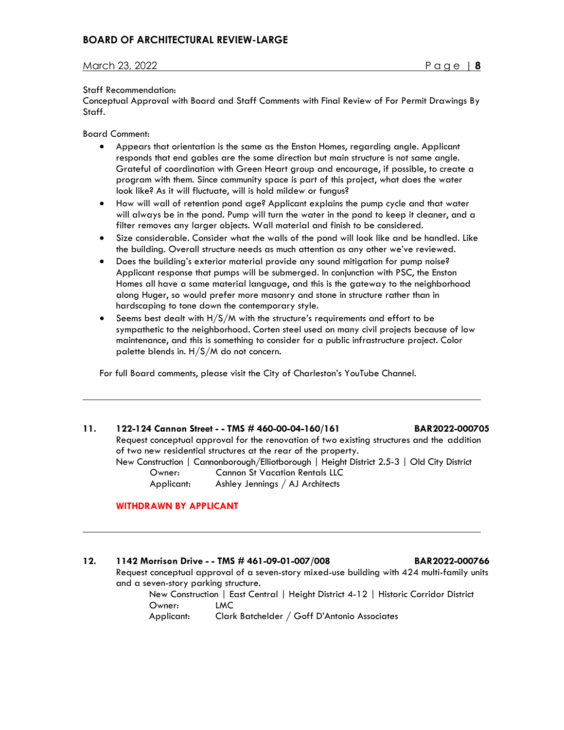#### Staff Recommendation:

Conceptual Approval with Board and Staff Comments with Final Review of For Permit Drawings By Staff.

Board Comment:

 $\overline{\phantom{a}}$ 

 $\overline{\phantom{a}}$ 

- Appears that orientation is the same as the Enston Homes, regarding angle. Applicant responds that end gables are the same direction but main structure is not same angle. Grateful of coordination with Green Heart group and encourage, if possible, to create a program with them. Since community space is part of this project, what does the water look like? As it will fluctuate, will is hold mildew or fungus?
- How will wall of retention pond age? Applicant explains the pump cycle and that water will always be in the pond. Pump will turn the water in the pond to keep it cleaner, and a filter removes any larger objects. Wall material and finish to be considered.
- Size considerable. Consider what the walls of the pond will look like and be handled. Like the building. Overall structure needs as much attention as any other we've reviewed.
- Does the building's exterior material provide any sound mitigation for pump noise? Applicant response that pumps will be submerged. In conjunction with PSC, the Enston Homes all have a same material language, and this is the gateway to the neighborhood along Huger, so would prefer more masonry and stone in structure rather than in hardscaping to tone down the contemporary style.
- Seems best dealt with H/S/M with the structure's requirements and effort to be sympathetic to the neighborhood. Corten steel used on many civil projects because of low maintenance, and this is something to consider for a public infrastructure project. Color palette blends in. H/S/M do not concern.

For full Board comments, please visit the City of Charleston's YouTube Channel.

# **11. 122-124 Cannon Street - - TMS # 460-00-04-160/161 BAR2022-000705** Request conceptual approval for the renovation of two existing structures and the addition of two new residential structures at the rear of the property. New Construction | Cannonborough/Elliotborough | Height District 2.5-3 | Old City District Owner: Cannon St Vacation Rentals LLC Applicant: Ashley Jennings / AJ Architects

#### **WITHDRAWN BY APPLICANT**

### **12. 1142 Morrison Drive - - TMS # 461-09-01-007/008 BAR2022-000766**

 Request conceptual approval of a seven-story mixed-use building with 424 multi-family units and a seven-story parking structure.

 New Construction | East Central | Height District 4-12 | Historic Corridor District Owner: LMC

Applicant: Clark Batchelder / Goff D'Antonio Associates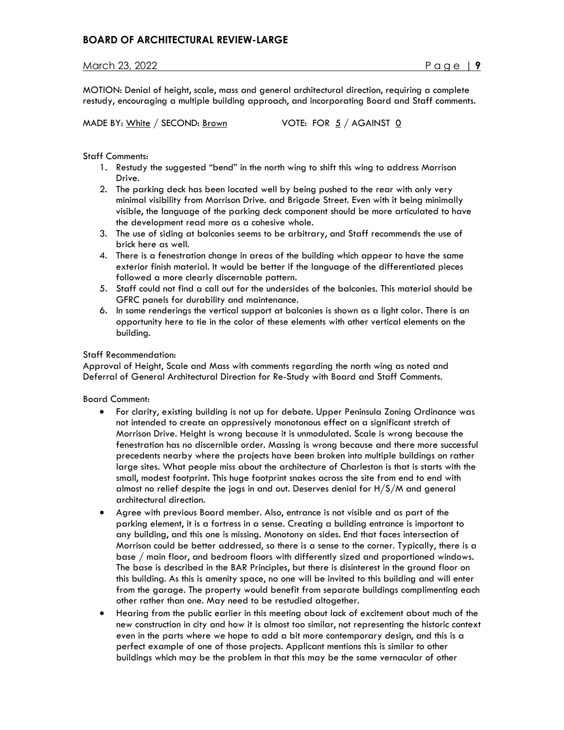MOTION: Denial of height, scale, mass and general architectural direction, requiring a complete restudy, encouraging a multiple building approach, and incorporating Board and Staff comments.

MADE BY:  $White / SECOND: Brown$  VOTE: FOR  $5 / AGAINT 0$ 

Staff Comments:

- 1. Restudy the suggested "bend" in the north wing to shift this wing to address Morrison Drive.
- 2. The parking deck has been located well by being pushed to the rear with only very minimal visibility from Morrison Drive. and Brigade Street. Even with it being minimally visible, the language of the parking deck component should be more articulated to have the development read more as a cohesive whole.
- 3. The use of siding at balconies seems to be arbitrary, and Staff recommends the use of brick here as well.
- 4. There is a fenestration change in areas of the building which appear to have the same exterior finish material. It would be better if the language of the differentiated pieces followed a more clearly discernable pattern.
- 5. Staff could not find a call out for the undersides of the balconies. This material should be GFRC panels for durability and maintenance.
- 6. In some renderings the vertical support at balconies is shown as a light color. There is an opportunity here to tie in the color of these elements with other vertical elements on the building.

### Staff Recommendation:

Approval of Height, Scale and Mass with comments regarding the north wing as noted and Deferral of General Architectural Direction for Re-Study with Board and Staff Comments.

Board Comment:

- For clarity, existing building is not up for debate. Upper Peninsula Zoning Ordinance was not intended to create an oppressively monotonous effect on a significant stretch of Morrison Drive. Height is wrong because it is unmodulated. Scale is wrong because the fenestration has no discernible order. Massing is wrong because and there more successful precedents nearby where the projects have been broken into multiple buildings on rather large sites. What people miss about the architecture of Charleston is that is starts with the small, modest footprint. This huge footprint snakes across the site from end to end with almost no relief despite the jogs in and out. Deserves denial for H/S/M and general architectural direction.
- Agree with previous Board member. Also, entrance is not visible and as part of the parking element, it is a fortress in a sense. Creating a building entrance is important to any building, and this one is missing. Monotony on sides. End that faces intersection of Morrison could be better addressed, so there is a sense to the corner. Typically, there is a base / main floor, and bedroom floors with differently sized and proportioned windows. The base is described in the BAR Principles, but there is disinterest in the ground floor on this building. As this is amenity space, no one will be invited to this building and will enter from the garage. The property would benefit from separate buildings complimenting each other rather than one. May need to be restudied altogether.
- Hearing from the public earlier in this meeting about lack of excitement about much of the new construction in city and how it is almost too similar, not representing the historic context even in the parts where we hope to add a bit more contemporary design, and this is a perfect example of one of those projects. Applicant mentions this is similar to other buildings which may be the problem in that this may be the same vernacular of other